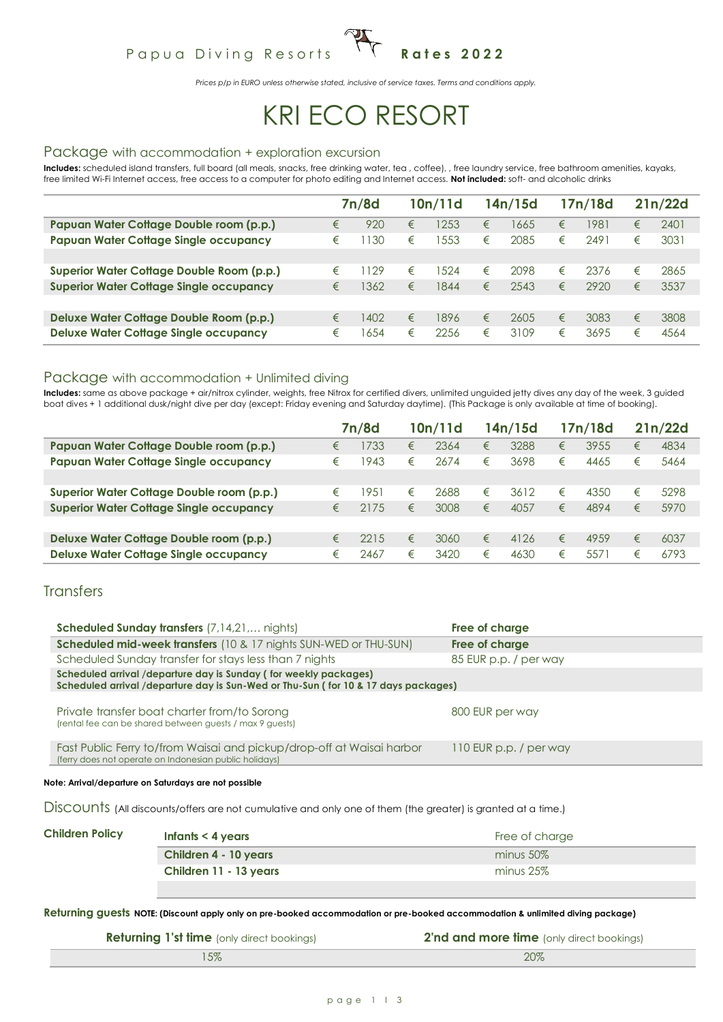## Papua Diving Resorts <sup>1</sup> T Rates 2022

*Prices p/p in EURO unless otherwise stated, inclusive of service taxes. Terms and conditions apply.*

# KRI ECO RESORT

#### Package with accommodation + exploration excursion

**Includes:** scheduled island transfers, full board (all meals, snacks, free drinking water, tea , coffee), , free laundry service, free bathroom amenities, kayaks, free limited Wi-Fi Internet access, free access to a computer for photo editing and Internet access. **Not included:** soft- and alcoholic drinks

|                                                |   | 7n/8d |   | 10n/11d |   | 14n/15d |   | 17n/18d |   | 21n/22d |
|------------------------------------------------|---|-------|---|---------|---|---------|---|---------|---|---------|
| Papuan Water Cottage Double room (p.p.)        | € | 920   | € | 1253    | € | 1665    | € | 1981    | € | 2401    |
| <b>Papuan Water Cottage Single occupancy</b>   | € | 130   | € | 1553    | € | 2085    | € | 2491    | € | 3031    |
|                                                |   |       |   |         |   |         |   |         |   |         |
| Superior Water Cottage Double Room (p.p.)      | € | 129   | € | 1524    | € | 2098    | € | 2376    | € | 2865    |
| <b>Superior Water Cottage Single occupancy</b> | € | 362   | € | 1844    | € | 2543    | € | 2920    | € | 3537    |
|                                                |   |       |   |         |   |         |   |         |   |         |
| Deluxe Water Cottage Double Room (p.p.)        | € | 1402  | € | 1896    | € | 2605    | € | 3083    | € | 3808    |
| <b>Deluxe Water Cottage Single occupancy</b>   | € | 654   | € | 2256    | € | 3109    | € | 3695    | € | 4564    |

#### Package with accommodation + Unlimited diving

**Includes:** same as above package + air/nitrox cylinder, weights, free Nitrox for certified divers, unlimited unguided jetty dives any day of the week, 3 guided boat dives + 1 additional dusk/night dive per day (except: Friday evening and Saturday daytime). (This Package is only available at time of booking).

|                                                |   | 7n/8d |   | 10n/11d |   | 14n/15d |   | 17n/18d |   | 21n/22d |
|------------------------------------------------|---|-------|---|---------|---|---------|---|---------|---|---------|
| Papuan Water Cottage Double room (p.p.)        | € | 733   | € | 2364    | € | 3288    | € | 3955    | € | 4834    |
| <b>Papuan Water Cottage Single occupancy</b>   | € | 1943  | € | 2674    | € | 3698    | € | 4465    | € | 5464    |
|                                                |   |       |   |         |   |         |   |         |   |         |
| Superior Water Cottage Double room (p.p.)      | € | 951   | € | 2688    | € | 3612    | € | 4350    | € | 5298    |
| <b>Superior Water Cottage Single occupancy</b> | € | 2175  | € | 3008    | € | 4057    | € | 4894    | € | 5970    |
|                                                |   |       |   |         |   |         |   |         |   |         |
| Deluxe Water Cottage Double room (p.p.)        | € | 2215  | € | 3060    | € | 4126    | € | 4959    | € | 6037    |
| <b>Deluxe Water Cottage Single occupancy</b>   | € | 2467  | € | 3420    | € | 4630    | € | 5571    | € | 6793    |

#### **Transfers**

| <b>Scheduled Sunday transfers</b> (7,14,21, nights)                                                                                                    | Free of charge         |
|--------------------------------------------------------------------------------------------------------------------------------------------------------|------------------------|
| <b>Scheduled mid-week transfers</b> (10 & 17 nights SUN-WED or THU-SUN)                                                                                | Free of charge         |
| Scheduled Sunday transfer for stays less than 7 nights                                                                                                 | 85 EUR p.p. / per way  |
| Scheduled arrival /departure day is Sunday (for weekly packages)<br>Scheduled arrival /departure day is Sun-Wed or Thu-Sun (for 10 & 17 days packages) |                        |
| Private transfer boat charter from/to Sorong<br>(rental fee can be shared between guests / max 9 guests)                                               | 800 EUR per way        |
| Fast Public Ferry to/from Waisai and pickup/drop-off at Waisai harbor<br>(ferry does not operate on Indonesian public holidays)                        | 110 EUR p.p. / per way |
|                                                                                                                                                        |                        |

**Note: Arrival/departure on Saturdays are not possible**

Discounts (All discounts/offers are not cumulative and only one of them (the greater) is granted at a time.)

| <b>Children Policy</b> | Infants $<$ 4 years    | Free of charge |
|------------------------|------------------------|----------------|
|                        | Children 4 - 10 years  | $minus 50\%$   |
|                        | Children 11 - 13 years | $minus 25\%$   |
|                        |                        |                |

**Returning guests NOTE: (Discount apply only on pre-booked accommodation or pre-booked accommodation & unlimited diving package)**

| <b>Returning 1'st time</b> (only direct bookings) | <b>2'nd and more time</b> (only direct bookings) |
|---------------------------------------------------|--------------------------------------------------|
| 15%                                               | 20%                                              |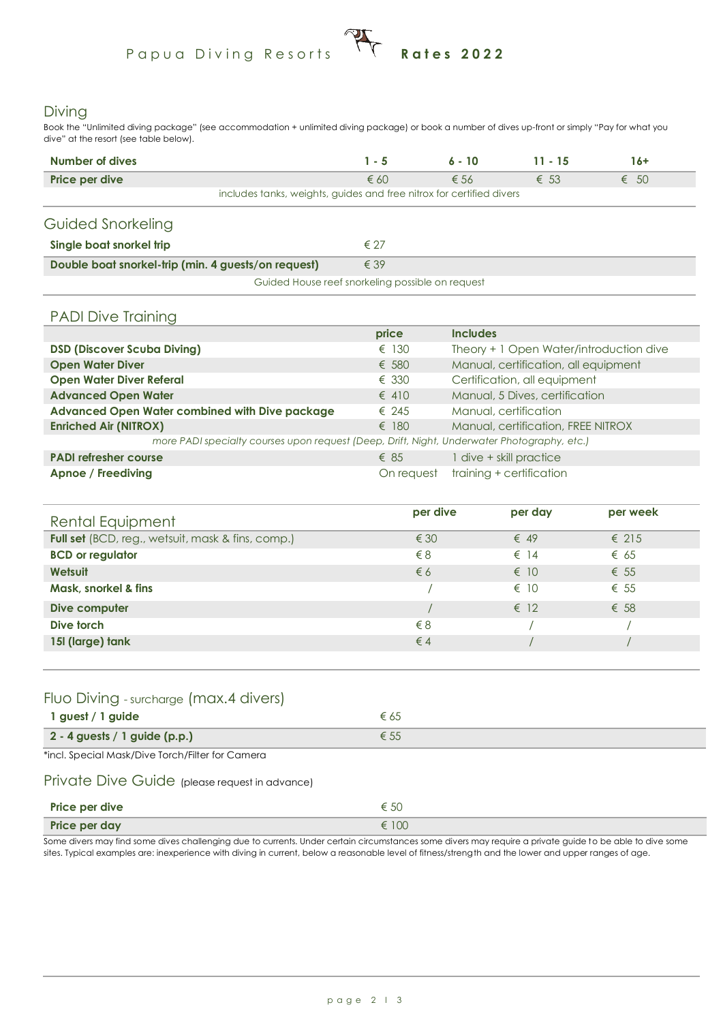## Papua Diving Resorts **Rates 2022**

#### Diving

Book the "Unlimited diving package" (see accommodation + unlimited diving package) or book a number of dives up-front or simply "Pay for what you dive" at the resort (see table below).

| Number of dives                                                      | 1 - 5         | $6 - 10$      | $11 - 15$     | $16+$         |
|----------------------------------------------------------------------|---------------|---------------|---------------|---------------|
| Price per dive                                                       | $\epsilon$ 60 | $\epsilon$ 56 | $\epsilon$ 53 | $\epsilon$ 50 |
| includes tanks, weights, guides and free nitrox for certified divers |               |               |               |               |
| Guided Snorkeling                                                    |               |               |               |               |
| Single boat snorkel trip                                             | $\epsilon$ 27 |               |               |               |
| Double boat snorkel-trip (min. 4 guests/on request)                  | $\epsilon$ 39 |               |               |               |
| Guided House reef snorkeling possible on request                     |               |               |               |               |

#### PADI Dive Training

|                                                                                             | price          | <b>Includes</b>                         |
|---------------------------------------------------------------------------------------------|----------------|-----------------------------------------|
| <b>DSD (Discover Scuba Diving)</b>                                                          | $\epsilon$ 130 | Theory + 1 Open Water/introduction dive |
| <b>Open Water Diver</b>                                                                     | $\epsilon$ 580 | Manual, certification, all equipment    |
| <b>Open Water Diver Referal</b>                                                             | $\epsilon$ 330 | Certification, all equipment            |
| <b>Advanced Open Water</b>                                                                  | $\epsilon$ 410 | Manual, 5 Dives, certification          |
| Advanced Open Water combined with Dive package                                              | $\epsilon$ 245 | Manual, certification                   |
| <b>Enriched Air (NITROX)</b>                                                                | $\epsilon$ 180 | Manual, certification, FREE NITROX      |
| more PADI specialty courses upon request (Deep, Drift, Night, Underwater Photography, etc.) |                |                                         |
| <b>PADI refresher course</b>                                                                | $\epsilon$ 85  | 1 dive + skill practice                 |
| Apnoe / Freediving                                                                          | On request     | training + certification                |

| Rental Equipment                                  | per dive      | per day       | per week       |  |
|---------------------------------------------------|---------------|---------------|----------------|--|
| Full set (BCD, reg., wetsuit, mask & fins, comp.) | $\epsilon$ 30 | $\epsilon$ 49 | $\epsilon$ 215 |  |
| <b>BCD</b> or regulator                           | $\xi$ 8       | $\epsilon$ 14 | $\epsilon$ 65  |  |
| Wetsuit                                           | $\epsilon$ 6  | $\epsilon$ 10 | $\epsilon$ 55  |  |
| Mask, snorkel & fins                              |               | $\epsilon$ 10 | $\epsilon$ 55  |  |
| Dive computer                                     |               | $\epsilon$ 12 | $\epsilon$ 58  |  |
| Dive torch                                        | $\xi$ 8       |               |                |  |
| 15I (large) tank                                  | $\epsilon$ 4  |               |                |  |
|                                                   |               |               |                |  |

#### Fluo Diving - surcharge (max.4 divers)

| 1 guest / 1 guide               |  |
|---------------------------------|--|
| $2 - 4$ guests / 1 guide (p.p.) |  |

\*incl. Special Mask/Dive Torch/Filter for Camera

#### Private Dive Guide (please request in advance)

| Price per dive | € 50  |
|----------------|-------|
| Price per day  | € 100 |

Some divers may find some dives challenging due to currents. Under certain circumstances some divers may require a private guide to be able to dive some sites. Typical examples are: inexperience with diving in current, below a reasonable level of fitness/strength and the lower and upper ranges of age.